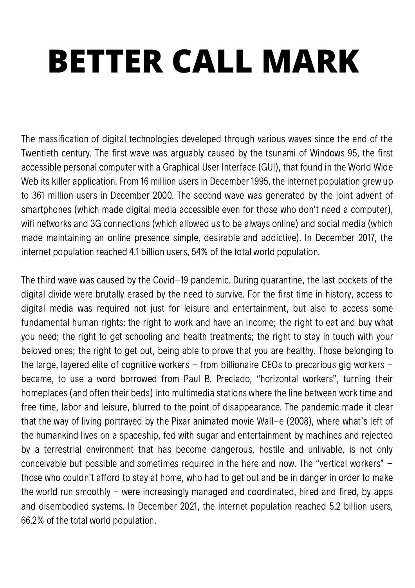## **BETTER CALL MARK**

The massification of digital technologies developed through various waves since the end of the Twentieth century. The first wave was arguably caused by the tsunami of Windows 95, the first accessible personal computer with a Graphical User Interface (GUI), that found in the World Wide Web its killer application. From 16 million users in December 1995, the internet population grew up to 361 million users in December 2000. The second wave was generated by the joint advent of smartphones (which made digital media accessible even for those who don't need a computer), wifi networks and 3G connections (which allowed us to be always online) and social media (which made maintaining an online presence simple, desirable and addictive). In December 2017, the internet population reached 4.1 billion users, 54% of the total world population.

The third wave was caused by the Covid-19 pandemic. During quarantine, the last pockets of the digital divide were brutally erased by the need to survive. For the first time in history, access to digital media was required not just for leisure and entertainment, but also to access some fundamental human rights: the right to work and have an income; the right to eat and buy what you need; the right to get schooling and health treatments; the right to stay in touch with your beloved ones; the right to get out, being able to prove that you are healthy. Those belonging to the large, layered elite of cognitive workers – from billionaire CEOs to precarious gig workers – became, to use a word borrowed from Paul B. Preciado, "horizontal workers", turning their homeplaces (and often their beds) into multimedia stations where the line between work time and free time, labor and leisure, blurred to the point of disappearance. The pandemic made it clear that the way of living portrayed by the Pixar animated movie Wall-e (2008), where what's left of the humankind lives on a spaceship, fed with sugar and entertainment by machines and rejected by a terrestrial environment that has become dangerous, hostile and unlivable, is not only conceivable but possible and sometimes required in the here and now. The "vertical workers" those who couldn't afford to stay at home, who had to get out and be in danger in order to make the world run smoothly  $-$  were increasingly managed and coordinated, hired and fired, by apps and disembodied systems. In December 2021, the internet population reached 5,2 billion users, 66.2% of the total world population.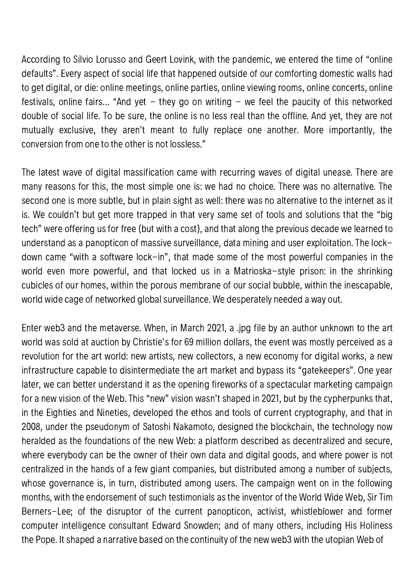According to Silvio Lorusso and Geert Lovink, with the pandemic, we entered the time of "online defaults". Every aspect of social life that happened outside of our comforting domestic walls had to get digital, or die: online meetings, online parties, online viewing rooms, online concerts, online festivals, online fairs... "And yet  $-$  they go on writing  $-$  we feel the paucity of this networked double of social life. To be sure, the online is no less real than the offline. And yet, they are not mutually exclusive, they aren't meant to fully replace one another. More importantly, the conversion from one to the other is not lossless."

The latest wave of digital massification came with recurring waves of digital unease. There are many reasons for this, the most simple one is: we had no choice. There was no alternative. The second one is more subtle, but in plain sight as well: there was no alternative to the internet as it is. We couldn't but get more trapped in that very same set of tools and solutions that the "big tech" were offering us for free (but with a cost), and that along the previous decade we learned to understand as a panopticon of massive surveillance, data mining and user exploitation. The lockdown came "with a software lock-in", that made some of the most powerful companies in the world even more powerful, and that locked us in a Matrioska-style prison: in the shrinking cubicles of our homes, within the porous membrane of our social bubble, within the inescapable, world wide cage of networked global surveillance. We desperately needed a way out.

Enter web3 and the metaverse. When, in March 2021, a .jpg file by an author unknown to the art world was sold at auction by Christie's for 69 million dollars, the event was mostly perceived as a revolution for the art world: new artists, new collectors, a new economy for digital works, a new infrastructure capable to disintermediate the art market and bypass its "gatekeepers". One year later, we can better understand it as the opening fireworks of a spectacular marketing campaign for a new vision of the Web. This "new" vision wasn't shaped in 2021, but by the cypherpunks that, in the Eighties and Nineties, developed the ethos and tools of current cryptography, and that in 2008, under the pseudonym of Satoshi Nakamoto, designed the blockchain, the technology now heralded as the foundations of the new Web: a platform described as decentralized and secure, where everybody can be the owner of their own data and digital goods, and where power is not centralized in the hands of a few giant companies, but distributed among a number of subjects, whose governance is, in turn, distributed among users. The campaign went on in the following months, with the endorsement of such testimonials as the inventor of the World Wide Web, Sir Tim Berners-Lee; of the disruptor of the current panopticon, activist, whistleblower and former computer intelligence consultant Edward Snowden; and of many others, including His Holiness the Pope. It shaped a narrative based on the continuity of the new web3 with the utopian Web of